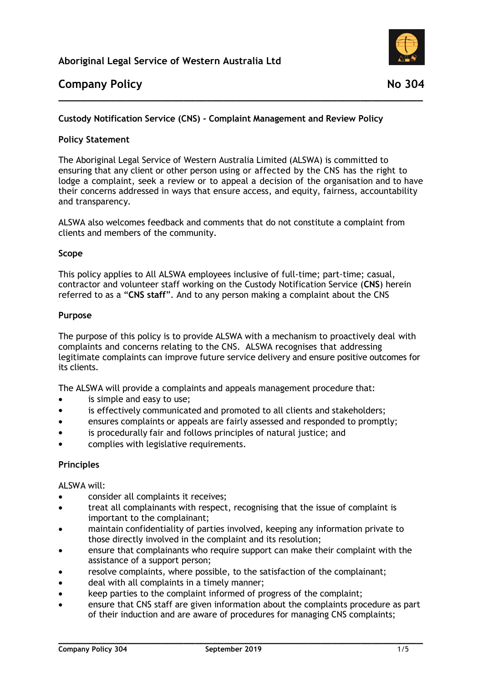

# **Company Policy** No. 204

## **Custody Notification Service (CNS) - Complaint Management and Review Policy**

### **Policy Statement**

The Aboriginal Legal Service of Western Australia Limited (ALSWA) is committed to ensuring that any client or other person using or affected by the CNS has the right to lodge a complaint, seek a review or to appeal a decision of the organisation and to have their concerns addressed in ways that ensure access, and equity, fairness, accountability and transparency.

**\_\_\_\_\_\_\_\_\_\_\_\_\_\_\_\_\_\_\_\_\_\_\_\_\_\_\_\_\_\_\_\_\_\_\_\_\_\_\_\_\_\_\_\_\_\_\_\_\_\_\_\_\_\_\_\_\_\_\_\_\_\_\_\_**

ALSWA also welcomes feedback and comments that do not constitute a complaint from clients and members of the community.

#### **Scope**

This policy applies to All ALSWA employees inclusive of full-time; part-time; casual, contractor and volunteer staff working on the Custody Notification Service (**CNS**) herein referred to as a "**CNS staff**". And to any person making a complaint about the CNS

#### **Purpose**

The purpose of this policy is to provide ALSWA with a mechanism to proactively deal with complaints and concerns relating to the CNS. ALSWA recognises that addressing legitimate complaints can improve future service delivery and ensure positive outcomes for its clients.

The ALSWA will provide a complaints and appeals management procedure that:

- is simple and easy to use;
- is effectively communicated and promoted to all clients and stakeholders;
- ensures complaints or appeals are fairly assessed and responded to promptly;
- is procedurally fair and follows principles of natural justice; and
- complies with legislative requirements.

#### **Principles**

ALSWA will:

- consider all complaints it receives;
- treat all complainants with respect, recognising that the issue of complaint is important to the complainant;
- maintain confidentiality of parties involved, keeping any information private to those directly involved in the complaint and its resolution;
- ensure that complainants who require support can make their complaint with the assistance of a support person;
- resolve complaints, where possible, to the satisfaction of the complainant;
- deal with all complaints in a timely manner;
- keep parties to the complaint informed of progress of the complaint;
- ensure that CNS staff are given information about the complaints procedure as part of their induction and are aware of procedures for managing CNS complaints;

**\_\_\_\_\_\_\_\_\_\_\_\_\_\_\_\_\_\_\_\_\_\_\_\_\_\_\_\_\_\_\_\_\_\_\_\_\_\_\_\_\_\_\_\_\_\_\_\_\_\_\_\_\_\_\_\_\_\_\_\_\_\_\_\_**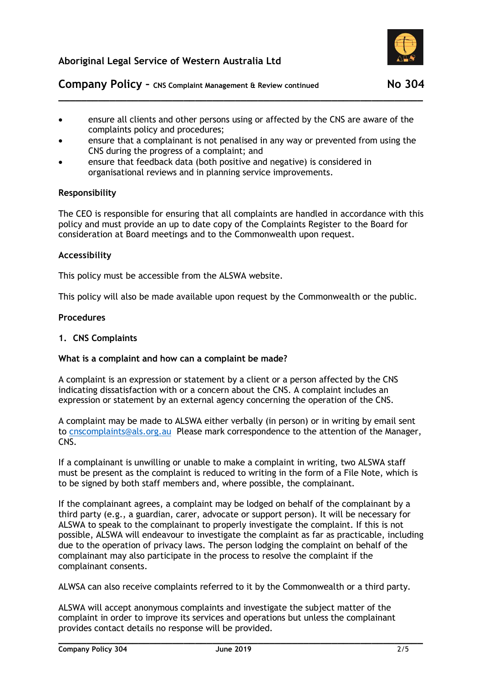

# **Company Policy -** CNS Complaint Management & Review continued No 304

 ensure all clients and other persons using or affected by the CNS are aware of the complaints policy and procedures;

**\_\_\_\_\_\_\_\_\_\_\_\_\_\_\_\_\_\_\_\_\_\_\_\_\_\_\_\_\_\_\_\_\_\_\_\_\_\_\_\_\_\_\_\_\_\_\_\_\_\_\_\_\_\_\_\_\_\_\_\_\_\_\_\_**

- ensure that a complainant is not penalised in any way or prevented from using the CNS during the progress of a complaint; and
- ensure that feedback data (both positive and negative) is considered in organisational reviews and in planning service improvements.

### **Responsibility**

The CEO is responsible for ensuring that all complaints are handled in accordance with this policy and must provide an up to date copy of the Complaints Register to the Board for consideration at Board meetings and to the Commonwealth upon request.

#### **Accessibility**

This policy must be accessible from the ALSWA website.

This policy will also be made available upon request by the Commonwealth or the public.

#### **Procedures**

#### **1. CNS Complaints**

#### **What is a complaint and how can a complaint be made?**

A complaint is an expression or statement by a client or a person affected by the CNS indicating dissatisfaction with or a concern about the CNS. A complaint includes an expression or statement by an external agency concerning the operation of the CNS.

A complaint may be made to ALSWA either verbally (in person) or in writing by email sent to [cnscomplaints@als.org.au](mailto:cnscomplaints@als.org.au) Please mark correspondence to the attention of the Manager, CNS.

If a complainant is unwilling or unable to make a complaint in writing, two ALSWA staff must be present as the complaint is reduced to writing in the form of a File Note, which is to be signed by both staff members and, where possible, the complainant.

If the complainant agrees, a complaint may be lodged on behalf of the complainant by a third party (e.g., a guardian, carer, advocate or support person). It will be necessary for ALSWA to speak to the complainant to properly investigate the complaint. If this is not possible, ALSWA will endeavour to investigate the complaint as far as practicable, including due to the operation of privacy laws. The person lodging the complaint on behalf of the complainant may also participate in the process to resolve the complaint if the complainant consents.

ALWSA can also receive complaints referred to it by the Commonwealth or a third party.

ALSWA will accept anonymous complaints and investigate the subject matter of the complaint in order to improve its services and operations but unless the complainant provides contact details no response will be provided.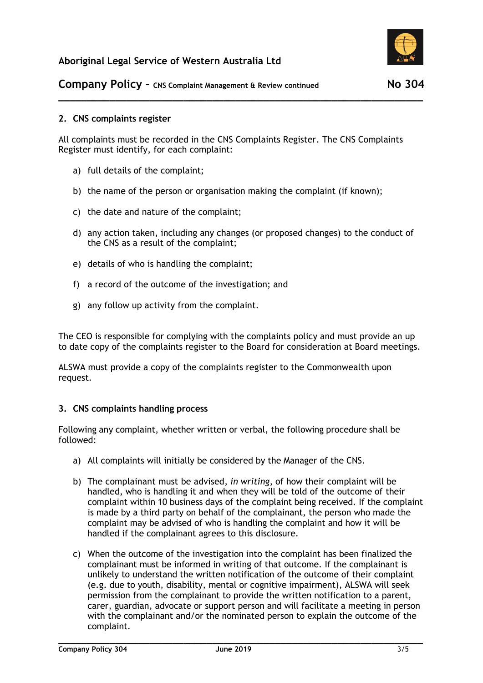

## **2. CNS complaints register**

All complaints must be recorded in the CNS Complaints Register. The CNS Complaints Register must identify, for each complaint:

**\_\_\_\_\_\_\_\_\_\_\_\_\_\_\_\_\_\_\_\_\_\_\_\_\_\_\_\_\_\_\_\_\_\_\_\_\_\_\_\_\_\_\_\_\_\_\_\_\_\_\_\_\_\_\_\_\_\_\_\_\_\_\_\_**

- a) full details of the complaint;
- b) the name of the person or organisation making the complaint (if known);
- c) the date and nature of the complaint;
- d) any action taken, including any changes (or proposed changes) to the conduct of the CNS as a result of the complaint;
- e) details of who is handling the complaint;
- f) a record of the outcome of the investigation; and
- g) any follow up activity from the complaint.

The CEO is responsible for complying with the complaints policy and must provide an up to date copy of the complaints register to the Board for consideration at Board meetings.

ALSWA must provide a copy of the complaints register to the Commonwealth upon request.

### **3. CNS complaints handling process**

Following any complaint, whether written or verbal, the following procedure shall be followed:

- a) All complaints will initially be considered by the Manager of the CNS.
- b) The complainant must be advised, *in writing*, of how their complaint will be handled, who is handling it and when they will be told of the outcome of their complaint within 10 business days of the complaint being received. If the complaint is made by a third party on behalf of the complainant, the person who made the complaint may be advised of who is handling the complaint and how it will be handled if the complainant agrees to this disclosure.
- c) When the outcome of the investigation into the complaint has been finalized the complainant must be informed in writing of that outcome. If the complainant is unlikely to understand the written notification of the outcome of their complaint (e.g. due to youth, disability, mental or cognitive impairment), ALSWA will seek permission from the complainant to provide the written notification to a parent, carer, guardian, advocate or support person and will facilitate a meeting in person with the complainant and/or the nominated person to explain the outcome of the complaint.

**\_\_\_\_\_\_\_\_\_\_\_\_\_\_\_\_\_\_\_\_\_\_\_\_\_\_\_\_\_\_\_\_\_\_\_\_\_\_\_\_\_\_\_\_\_\_\_\_\_\_\_\_\_\_\_\_\_\_\_\_\_\_\_\_**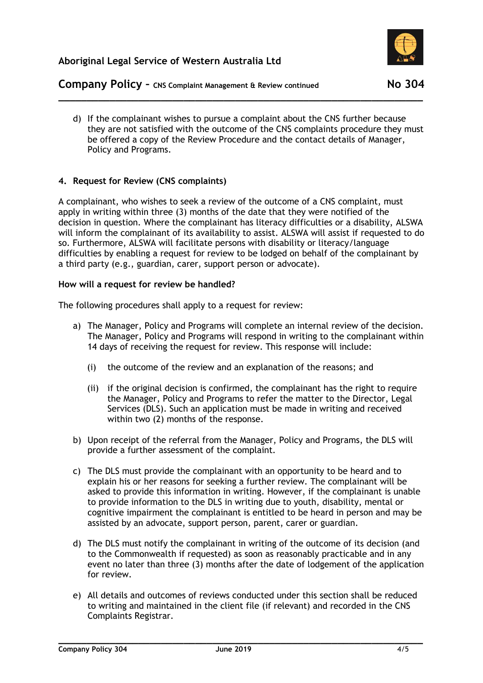

# **Company Policy -** CNS Complaint Management & Review continued No 304

d) If the complainant wishes to pursue a complaint about the CNS further because they are not satisfied with the outcome of the CNS complaints procedure they must be offered a copy of the Review Procedure and the contact details of Manager, Policy and Programs.

**\_\_\_\_\_\_\_\_\_\_\_\_\_\_\_\_\_\_\_\_\_\_\_\_\_\_\_\_\_\_\_\_\_\_\_\_\_\_\_\_\_\_\_\_\_\_\_\_\_\_\_\_\_\_\_\_\_\_\_\_\_\_\_\_**

## **4. Request for Review (CNS complaints)**

A complainant, who wishes to seek a review of the outcome of a CNS complaint, must apply in writing within three (3) months of the date that they were notified of the decision in question. Where the complainant has literacy difficulties or a disability, ALSWA will inform the complainant of its availability to assist. ALSWA will assist if requested to do so. Furthermore, ALSWA will facilitate persons with disability or literacy/language difficulties by enabling a request for review to be lodged on behalf of the complainant by a third party (e.g., guardian, carer, support person or advocate).

### **How will a request for review be handled?**

The following procedures shall apply to a request for review:

- a) The Manager, Policy and Programs will complete an internal review of the decision. The Manager, Policy and Programs will respond in writing to the complainant within 14 days of receiving the request for review. This response will include:
	- (i) the outcome of the review and an explanation of the reasons; and
	- (ii) if the original decision is confirmed, the complainant has the right to require the Manager, Policy and Programs to refer the matter to the Director, Legal Services (DLS). Such an application must be made in writing and received within two (2) months of the response.
- b) Upon receipt of the referral from the Manager, Policy and Programs, the DLS will provide a further assessment of the complaint.
- c) The DLS must provide the complainant with an opportunity to be heard and to explain his or her reasons for seeking a further review. The complainant will be asked to provide this information in writing. However, if the complainant is unable to provide information to the DLS in writing due to youth, disability, mental or cognitive impairment the complainant is entitled to be heard in person and may be assisted by an advocate, support person, parent, carer or guardian.
- d) The DLS must notify the complainant in writing of the outcome of its decision (and to the Commonwealth if requested) as soon as reasonably practicable and in any event no later than three (3) months after the date of lodgement of the application for review.
- e) All details and outcomes of reviews conducted under this section shall be reduced to writing and maintained in the client file (if relevant) and recorded in the CNS Complaints Registrar.